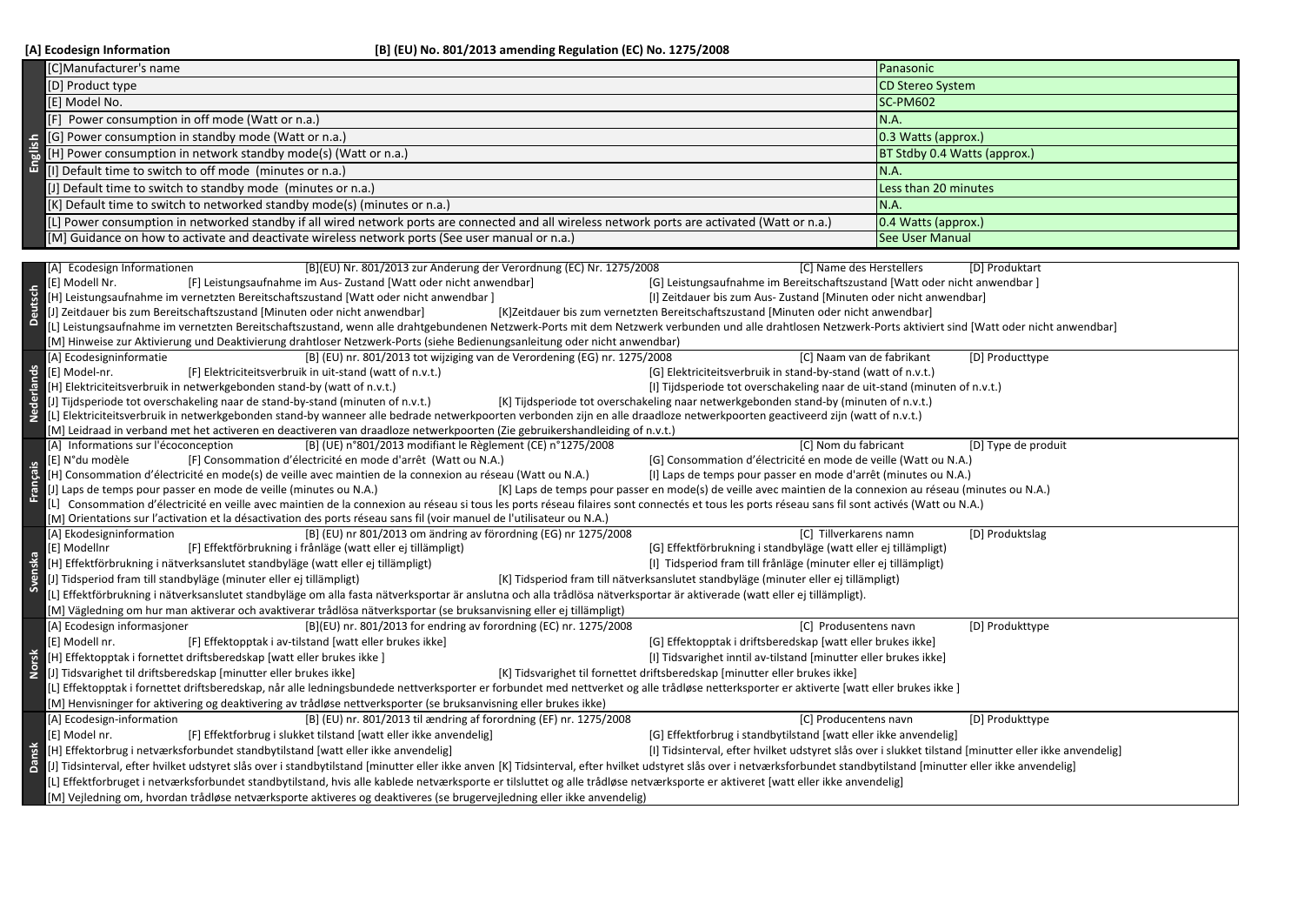| [C]Manufacturer's name<br>Panasonic<br><b>CD Stereo System</b><br>[D] Product type<br>[E] Model No.<br><b>SC-PM602</b><br>N.A.<br>Power consumption in off mode (Watt or n.a.)<br>[G] Power consumption in standby mode (Watt or n.a.)<br>0.3 Watts (approx.)<br>English<br>[H] Power consumption in network standby mode(s) (Watt or n.a.)<br>BT Stdby 0.4 Watts (approx.)<br>[I] Default time to switch to off mode (minutes or n.a.)<br>N.A.<br>[J] Default time to switch to standby mode (minutes or n.a.)<br>Less than 20 minutes<br>[K] Default time to switch to networked standby mode(s) (minutes or n.a.)<br>N.A.<br>[L] Power consumption in networked standby if all wired network ports are connected and all wireless network ports are activated (Watt or n.a.)<br>0.4 Watts (approx.)<br>[M] Guidance on how to activate and deactivate wireless network ports (See user manual or n.a.)<br><b>See User Manual</b><br>[A] Ecodesign Informationen<br>[B](EU) Nr. 801/2013 zur Änderung der Verordnung (EC) Nr. 1275/2008<br>[C] Name des Herstellers<br>[D] Produktart<br>[E] Modell Nr.<br>[F] Leistungsaufnahme im Aus- Zustand [Watt oder nicht anwendbar]<br>[G] Leistungsaufnahme im Bereitschaftszustand [Watt oder nicht anwendbar]<br><b>Deutsch</b><br>[H] Leistungsaufnahme im vernetzten Bereitschaftszustand [Watt oder nicht anwendbar]<br>[I] Zeitdauer bis zum Aus- Zustand [Minuten oder nicht anwendbar]<br>J] Zeitdauer bis zum Bereitschaftszustand [Minuten oder nicht anwendbar]<br>[K]Zeitdauer bis zum vernetzten Bereitschaftszustand [Minuten oder nicht anwendbar]<br>L] Leistungsaufnahme im vernetzten Bereitschaftszustand, wenn alle drahtgebundenen Netzwerk-Ports mit dem Netzwerk verbunden und alle drahtlosen Netzwerk-Ports aktiviert sind [Watt oder nicht anwendbar]<br>M] Hinweise zur Aktivierung und Deaktivierung drahtloser Netzwerk-Ports (siehe Bedienungsanleitung oder nicht anwendbar)<br>[A] Ecodesigninformatie<br>[B] (EU) nr. 801/2013 tot wijziging van de Verordening (EG) nr. 1275/2008<br>[C] Naam van de fabrikant<br>[D] Producttype<br>Nederlands<br>[E] Model-nr.<br>[F] Elektriciteitsverbruik in uit-stand (watt of n.v.t.)<br>[G] Elektriciteitsverbruik in stand-by-stand (watt of n.v.t.)<br>[H] Elektriciteitsverbruik in netwerkgebonden stand-by (watt of n.v.t.)<br>[I] Tijdsperiode tot overschakeling naar de uit-stand (minuten of n.v.t.)<br>J] Tijdsperiode tot overschakeling naar de stand-by-stand (minuten of n.v.t.)<br>[K] Tijdsperiode tot overschakeling naar netwerkgebonden stand-by (minuten of n.v.t.)<br>[L] Elektriciteitsverbruik in netwerkgebonden stand-by wanneer alle bedrade netwerkpoorten verbonden zijn en alle draadloze netwerkpoorten geactiveerd zijn (watt of n.v.t.)<br>[M] Leidraad in verband met het activeren en deactiveren van draadloze netwerkpoorten (Zie gebruikershandleiding of n.v.t.)<br>[C] Nom du fabricant<br>[A] Informations sur l'écoconception<br>[B] (UE) n°801/2013 modifiant le Règlement (CE) n°1275/2008<br>[D] Type de produit<br>[G] Consommation d'électricité en mode de veille (Watt ou N.A.)<br>[E] N°du modèle<br>[F] Consommation d'électricité en mode d'arrêt (Watt ou N.A.)<br>Français<br>[H] Consommation d'électricité en mode(s) de veille avec maintien de la connexion au réseau (Watt ou N.A.)<br>[I] Laps de temps pour passer en mode d'arrêt (minutes ou N.A.)<br>J] Laps de temps pour passer en mode de veille (minutes ou N.A.)<br>[K] Laps de temps pour passer en mode(s) de veille avec maintien de la connexion au réseau (minutes ou N.A.)<br>L] Consommation d'électricité en veille avec maintien de la connexion au réseau si tous les ports réseau filaires sont connectés et tous les ports réseau sans fil sont activés (Watt ou N.A.) |  |  |  |  |
|------------------------------------------------------------------------------------------------------------------------------------------------------------------------------------------------------------------------------------------------------------------------------------------------------------------------------------------------------------------------------------------------------------------------------------------------------------------------------------------------------------------------------------------------------------------------------------------------------------------------------------------------------------------------------------------------------------------------------------------------------------------------------------------------------------------------------------------------------------------------------------------------------------------------------------------------------------------------------------------------------------------------------------------------------------------------------------------------------------------------------------------------------------------------------------------------------------------------------------------------------------------------------------------------------------------------------------------------------------------------------------------------------------------------------------------------------------------------------------------------------------------------------------------------------------------------------------------------------------------------------------------------------------------------------------------------------------------------------------------------------------------------------------------------------------------------------------------------------------------------------------------------------------------------------------------------------------------------------------------------------------------------------------------------------------------------------------------------------------------------------------------------------------------------------------------------------------------------------------------------------------------------------------------------------------------------------------------------------------------------------------------------------------------------------------------------------------------------------------------------------------------------------------------------------------------------------------------------------------------------------------------------------------------------------------------------------------------------------------------------------------------------------------------------------------------------------------------------------------------------------------------------------------------------------------------------------------------------------------------------------------------------------------------------------------------------------------------------------------------------------------------------------------------------------------------------------------------------------------------------------------------------------------------------------------------------------------------------------------------------------------------------------------------------------------------------------------------------------------------------------------------------------------------------------------------------------------------------------------------------------------------------------------------------------------------------------------------------------------------------------------------------------------------------------------------------------|--|--|--|--|
|                                                                                                                                                                                                                                                                                                                                                                                                                                                                                                                                                                                                                                                                                                                                                                                                                                                                                                                                                                                                                                                                                                                                                                                                                                                                                                                                                                                                                                                                                                                                                                                                                                                                                                                                                                                                                                                                                                                                                                                                                                                                                                                                                                                                                                                                                                                                                                                                                                                                                                                                                                                                                                                                                                                                                                                                                                                                                                                                                                                                                                                                                                                                                                                                                                                                                                                                                                                                                                                                                                                                                                                                                                                                                                                                                                                                                              |  |  |  |  |
|                                                                                                                                                                                                                                                                                                                                                                                                                                                                                                                                                                                                                                                                                                                                                                                                                                                                                                                                                                                                                                                                                                                                                                                                                                                                                                                                                                                                                                                                                                                                                                                                                                                                                                                                                                                                                                                                                                                                                                                                                                                                                                                                                                                                                                                                                                                                                                                                                                                                                                                                                                                                                                                                                                                                                                                                                                                                                                                                                                                                                                                                                                                                                                                                                                                                                                                                                                                                                                                                                                                                                                                                                                                                                                                                                                                                                              |  |  |  |  |
|                                                                                                                                                                                                                                                                                                                                                                                                                                                                                                                                                                                                                                                                                                                                                                                                                                                                                                                                                                                                                                                                                                                                                                                                                                                                                                                                                                                                                                                                                                                                                                                                                                                                                                                                                                                                                                                                                                                                                                                                                                                                                                                                                                                                                                                                                                                                                                                                                                                                                                                                                                                                                                                                                                                                                                                                                                                                                                                                                                                                                                                                                                                                                                                                                                                                                                                                                                                                                                                                                                                                                                                                                                                                                                                                                                                                                              |  |  |  |  |
|                                                                                                                                                                                                                                                                                                                                                                                                                                                                                                                                                                                                                                                                                                                                                                                                                                                                                                                                                                                                                                                                                                                                                                                                                                                                                                                                                                                                                                                                                                                                                                                                                                                                                                                                                                                                                                                                                                                                                                                                                                                                                                                                                                                                                                                                                                                                                                                                                                                                                                                                                                                                                                                                                                                                                                                                                                                                                                                                                                                                                                                                                                                                                                                                                                                                                                                                                                                                                                                                                                                                                                                                                                                                                                                                                                                                                              |  |  |  |  |
|                                                                                                                                                                                                                                                                                                                                                                                                                                                                                                                                                                                                                                                                                                                                                                                                                                                                                                                                                                                                                                                                                                                                                                                                                                                                                                                                                                                                                                                                                                                                                                                                                                                                                                                                                                                                                                                                                                                                                                                                                                                                                                                                                                                                                                                                                                                                                                                                                                                                                                                                                                                                                                                                                                                                                                                                                                                                                                                                                                                                                                                                                                                                                                                                                                                                                                                                                                                                                                                                                                                                                                                                                                                                                                                                                                                                                              |  |  |  |  |
|                                                                                                                                                                                                                                                                                                                                                                                                                                                                                                                                                                                                                                                                                                                                                                                                                                                                                                                                                                                                                                                                                                                                                                                                                                                                                                                                                                                                                                                                                                                                                                                                                                                                                                                                                                                                                                                                                                                                                                                                                                                                                                                                                                                                                                                                                                                                                                                                                                                                                                                                                                                                                                                                                                                                                                                                                                                                                                                                                                                                                                                                                                                                                                                                                                                                                                                                                                                                                                                                                                                                                                                                                                                                                                                                                                                                                              |  |  |  |  |
|                                                                                                                                                                                                                                                                                                                                                                                                                                                                                                                                                                                                                                                                                                                                                                                                                                                                                                                                                                                                                                                                                                                                                                                                                                                                                                                                                                                                                                                                                                                                                                                                                                                                                                                                                                                                                                                                                                                                                                                                                                                                                                                                                                                                                                                                                                                                                                                                                                                                                                                                                                                                                                                                                                                                                                                                                                                                                                                                                                                                                                                                                                                                                                                                                                                                                                                                                                                                                                                                                                                                                                                                                                                                                                                                                                                                                              |  |  |  |  |
|                                                                                                                                                                                                                                                                                                                                                                                                                                                                                                                                                                                                                                                                                                                                                                                                                                                                                                                                                                                                                                                                                                                                                                                                                                                                                                                                                                                                                                                                                                                                                                                                                                                                                                                                                                                                                                                                                                                                                                                                                                                                                                                                                                                                                                                                                                                                                                                                                                                                                                                                                                                                                                                                                                                                                                                                                                                                                                                                                                                                                                                                                                                                                                                                                                                                                                                                                                                                                                                                                                                                                                                                                                                                                                                                                                                                                              |  |  |  |  |
|                                                                                                                                                                                                                                                                                                                                                                                                                                                                                                                                                                                                                                                                                                                                                                                                                                                                                                                                                                                                                                                                                                                                                                                                                                                                                                                                                                                                                                                                                                                                                                                                                                                                                                                                                                                                                                                                                                                                                                                                                                                                                                                                                                                                                                                                                                                                                                                                                                                                                                                                                                                                                                                                                                                                                                                                                                                                                                                                                                                                                                                                                                                                                                                                                                                                                                                                                                                                                                                                                                                                                                                                                                                                                                                                                                                                                              |  |  |  |  |
|                                                                                                                                                                                                                                                                                                                                                                                                                                                                                                                                                                                                                                                                                                                                                                                                                                                                                                                                                                                                                                                                                                                                                                                                                                                                                                                                                                                                                                                                                                                                                                                                                                                                                                                                                                                                                                                                                                                                                                                                                                                                                                                                                                                                                                                                                                                                                                                                                                                                                                                                                                                                                                                                                                                                                                                                                                                                                                                                                                                                                                                                                                                                                                                                                                                                                                                                                                                                                                                                                                                                                                                                                                                                                                                                                                                                                              |  |  |  |  |
|                                                                                                                                                                                                                                                                                                                                                                                                                                                                                                                                                                                                                                                                                                                                                                                                                                                                                                                                                                                                                                                                                                                                                                                                                                                                                                                                                                                                                                                                                                                                                                                                                                                                                                                                                                                                                                                                                                                                                                                                                                                                                                                                                                                                                                                                                                                                                                                                                                                                                                                                                                                                                                                                                                                                                                                                                                                                                                                                                                                                                                                                                                                                                                                                                                                                                                                                                                                                                                                                                                                                                                                                                                                                                                                                                                                                                              |  |  |  |  |
|                                                                                                                                                                                                                                                                                                                                                                                                                                                                                                                                                                                                                                                                                                                                                                                                                                                                                                                                                                                                                                                                                                                                                                                                                                                                                                                                                                                                                                                                                                                                                                                                                                                                                                                                                                                                                                                                                                                                                                                                                                                                                                                                                                                                                                                                                                                                                                                                                                                                                                                                                                                                                                                                                                                                                                                                                                                                                                                                                                                                                                                                                                                                                                                                                                                                                                                                                                                                                                                                                                                                                                                                                                                                                                                                                                                                                              |  |  |  |  |
|                                                                                                                                                                                                                                                                                                                                                                                                                                                                                                                                                                                                                                                                                                                                                                                                                                                                                                                                                                                                                                                                                                                                                                                                                                                                                                                                                                                                                                                                                                                                                                                                                                                                                                                                                                                                                                                                                                                                                                                                                                                                                                                                                                                                                                                                                                                                                                                                                                                                                                                                                                                                                                                                                                                                                                                                                                                                                                                                                                                                                                                                                                                                                                                                                                                                                                                                                                                                                                                                                                                                                                                                                                                                                                                                                                                                                              |  |  |  |  |
|                                                                                                                                                                                                                                                                                                                                                                                                                                                                                                                                                                                                                                                                                                                                                                                                                                                                                                                                                                                                                                                                                                                                                                                                                                                                                                                                                                                                                                                                                                                                                                                                                                                                                                                                                                                                                                                                                                                                                                                                                                                                                                                                                                                                                                                                                                                                                                                                                                                                                                                                                                                                                                                                                                                                                                                                                                                                                                                                                                                                                                                                                                                                                                                                                                                                                                                                                                                                                                                                                                                                                                                                                                                                                                                                                                                                                              |  |  |  |  |
|                                                                                                                                                                                                                                                                                                                                                                                                                                                                                                                                                                                                                                                                                                                                                                                                                                                                                                                                                                                                                                                                                                                                                                                                                                                                                                                                                                                                                                                                                                                                                                                                                                                                                                                                                                                                                                                                                                                                                                                                                                                                                                                                                                                                                                                                                                                                                                                                                                                                                                                                                                                                                                                                                                                                                                                                                                                                                                                                                                                                                                                                                                                                                                                                                                                                                                                                                                                                                                                                                                                                                                                                                                                                                                                                                                                                                              |  |  |  |  |
|                                                                                                                                                                                                                                                                                                                                                                                                                                                                                                                                                                                                                                                                                                                                                                                                                                                                                                                                                                                                                                                                                                                                                                                                                                                                                                                                                                                                                                                                                                                                                                                                                                                                                                                                                                                                                                                                                                                                                                                                                                                                                                                                                                                                                                                                                                                                                                                                                                                                                                                                                                                                                                                                                                                                                                                                                                                                                                                                                                                                                                                                                                                                                                                                                                                                                                                                                                                                                                                                                                                                                                                                                                                                                                                                                                                                                              |  |  |  |  |
|                                                                                                                                                                                                                                                                                                                                                                                                                                                                                                                                                                                                                                                                                                                                                                                                                                                                                                                                                                                                                                                                                                                                                                                                                                                                                                                                                                                                                                                                                                                                                                                                                                                                                                                                                                                                                                                                                                                                                                                                                                                                                                                                                                                                                                                                                                                                                                                                                                                                                                                                                                                                                                                                                                                                                                                                                                                                                                                                                                                                                                                                                                                                                                                                                                                                                                                                                                                                                                                                                                                                                                                                                                                                                                                                                                                                                              |  |  |  |  |
|                                                                                                                                                                                                                                                                                                                                                                                                                                                                                                                                                                                                                                                                                                                                                                                                                                                                                                                                                                                                                                                                                                                                                                                                                                                                                                                                                                                                                                                                                                                                                                                                                                                                                                                                                                                                                                                                                                                                                                                                                                                                                                                                                                                                                                                                                                                                                                                                                                                                                                                                                                                                                                                                                                                                                                                                                                                                                                                                                                                                                                                                                                                                                                                                                                                                                                                                                                                                                                                                                                                                                                                                                                                                                                                                                                                                                              |  |  |  |  |
|                                                                                                                                                                                                                                                                                                                                                                                                                                                                                                                                                                                                                                                                                                                                                                                                                                                                                                                                                                                                                                                                                                                                                                                                                                                                                                                                                                                                                                                                                                                                                                                                                                                                                                                                                                                                                                                                                                                                                                                                                                                                                                                                                                                                                                                                                                                                                                                                                                                                                                                                                                                                                                                                                                                                                                                                                                                                                                                                                                                                                                                                                                                                                                                                                                                                                                                                                                                                                                                                                                                                                                                                                                                                                                                                                                                                                              |  |  |  |  |
|                                                                                                                                                                                                                                                                                                                                                                                                                                                                                                                                                                                                                                                                                                                                                                                                                                                                                                                                                                                                                                                                                                                                                                                                                                                                                                                                                                                                                                                                                                                                                                                                                                                                                                                                                                                                                                                                                                                                                                                                                                                                                                                                                                                                                                                                                                                                                                                                                                                                                                                                                                                                                                                                                                                                                                                                                                                                                                                                                                                                                                                                                                                                                                                                                                                                                                                                                                                                                                                                                                                                                                                                                                                                                                                                                                                                                              |  |  |  |  |
|                                                                                                                                                                                                                                                                                                                                                                                                                                                                                                                                                                                                                                                                                                                                                                                                                                                                                                                                                                                                                                                                                                                                                                                                                                                                                                                                                                                                                                                                                                                                                                                                                                                                                                                                                                                                                                                                                                                                                                                                                                                                                                                                                                                                                                                                                                                                                                                                                                                                                                                                                                                                                                                                                                                                                                                                                                                                                                                                                                                                                                                                                                                                                                                                                                                                                                                                                                                                                                                                                                                                                                                                                                                                                                                                                                                                                              |  |  |  |  |
|                                                                                                                                                                                                                                                                                                                                                                                                                                                                                                                                                                                                                                                                                                                                                                                                                                                                                                                                                                                                                                                                                                                                                                                                                                                                                                                                                                                                                                                                                                                                                                                                                                                                                                                                                                                                                                                                                                                                                                                                                                                                                                                                                                                                                                                                                                                                                                                                                                                                                                                                                                                                                                                                                                                                                                                                                                                                                                                                                                                                                                                                                                                                                                                                                                                                                                                                                                                                                                                                                                                                                                                                                                                                                                                                                                                                                              |  |  |  |  |
|                                                                                                                                                                                                                                                                                                                                                                                                                                                                                                                                                                                                                                                                                                                                                                                                                                                                                                                                                                                                                                                                                                                                                                                                                                                                                                                                                                                                                                                                                                                                                                                                                                                                                                                                                                                                                                                                                                                                                                                                                                                                                                                                                                                                                                                                                                                                                                                                                                                                                                                                                                                                                                                                                                                                                                                                                                                                                                                                                                                                                                                                                                                                                                                                                                                                                                                                                                                                                                                                                                                                                                                                                                                                                                                                                                                                                              |  |  |  |  |
|                                                                                                                                                                                                                                                                                                                                                                                                                                                                                                                                                                                                                                                                                                                                                                                                                                                                                                                                                                                                                                                                                                                                                                                                                                                                                                                                                                                                                                                                                                                                                                                                                                                                                                                                                                                                                                                                                                                                                                                                                                                                                                                                                                                                                                                                                                                                                                                                                                                                                                                                                                                                                                                                                                                                                                                                                                                                                                                                                                                                                                                                                                                                                                                                                                                                                                                                                                                                                                                                                                                                                                                                                                                                                                                                                                                                                              |  |  |  |  |
|                                                                                                                                                                                                                                                                                                                                                                                                                                                                                                                                                                                                                                                                                                                                                                                                                                                                                                                                                                                                                                                                                                                                                                                                                                                                                                                                                                                                                                                                                                                                                                                                                                                                                                                                                                                                                                                                                                                                                                                                                                                                                                                                                                                                                                                                                                                                                                                                                                                                                                                                                                                                                                                                                                                                                                                                                                                                                                                                                                                                                                                                                                                                                                                                                                                                                                                                                                                                                                                                                                                                                                                                                                                                                                                                                                                                                              |  |  |  |  |
|                                                                                                                                                                                                                                                                                                                                                                                                                                                                                                                                                                                                                                                                                                                                                                                                                                                                                                                                                                                                                                                                                                                                                                                                                                                                                                                                                                                                                                                                                                                                                                                                                                                                                                                                                                                                                                                                                                                                                                                                                                                                                                                                                                                                                                                                                                                                                                                                                                                                                                                                                                                                                                                                                                                                                                                                                                                                                                                                                                                                                                                                                                                                                                                                                                                                                                                                                                                                                                                                                                                                                                                                                                                                                                                                                                                                                              |  |  |  |  |
|                                                                                                                                                                                                                                                                                                                                                                                                                                                                                                                                                                                                                                                                                                                                                                                                                                                                                                                                                                                                                                                                                                                                                                                                                                                                                                                                                                                                                                                                                                                                                                                                                                                                                                                                                                                                                                                                                                                                                                                                                                                                                                                                                                                                                                                                                                                                                                                                                                                                                                                                                                                                                                                                                                                                                                                                                                                                                                                                                                                                                                                                                                                                                                                                                                                                                                                                                                                                                                                                                                                                                                                                                                                                                                                                                                                                                              |  |  |  |  |
|                                                                                                                                                                                                                                                                                                                                                                                                                                                                                                                                                                                                                                                                                                                                                                                                                                                                                                                                                                                                                                                                                                                                                                                                                                                                                                                                                                                                                                                                                                                                                                                                                                                                                                                                                                                                                                                                                                                                                                                                                                                                                                                                                                                                                                                                                                                                                                                                                                                                                                                                                                                                                                                                                                                                                                                                                                                                                                                                                                                                                                                                                                                                                                                                                                                                                                                                                                                                                                                                                                                                                                                                                                                                                                                                                                                                                              |  |  |  |  |
| [M] Orientations sur l'activation et la désactivation des ports réseau sans fil (voir manuel de l'utilisateur ou N.A.)                                                                                                                                                                                                                                                                                                                                                                                                                                                                                                                                                                                                                                                                                                                                                                                                                                                                                                                                                                                                                                                                                                                                                                                                                                                                                                                                                                                                                                                                                                                                                                                                                                                                                                                                                                                                                                                                                                                                                                                                                                                                                                                                                                                                                                                                                                                                                                                                                                                                                                                                                                                                                                                                                                                                                                                                                                                                                                                                                                                                                                                                                                                                                                                                                                                                                                                                                                                                                                                                                                                                                                                                                                                                                                       |  |  |  |  |
| [A] Ekodesigninformation<br>[B] (EU) nr 801/2013 om ändring av förordning (EG) nr 1275/2008<br>[C] Tillverkarens namn<br>[D] Produktslag                                                                                                                                                                                                                                                                                                                                                                                                                                                                                                                                                                                                                                                                                                                                                                                                                                                                                                                                                                                                                                                                                                                                                                                                                                                                                                                                                                                                                                                                                                                                                                                                                                                                                                                                                                                                                                                                                                                                                                                                                                                                                                                                                                                                                                                                                                                                                                                                                                                                                                                                                                                                                                                                                                                                                                                                                                                                                                                                                                                                                                                                                                                                                                                                                                                                                                                                                                                                                                                                                                                                                                                                                                                                                     |  |  |  |  |
| [E] Modellnr<br>[G] Effektförbrukning i standbyläge (watt eller ej tillämpligt)<br>[F] Effektförbrukning i frånläge (watt eller ej tillämpligt)<br>Svenska                                                                                                                                                                                                                                                                                                                                                                                                                                                                                                                                                                                                                                                                                                                                                                                                                                                                                                                                                                                                                                                                                                                                                                                                                                                                                                                                                                                                                                                                                                                                                                                                                                                                                                                                                                                                                                                                                                                                                                                                                                                                                                                                                                                                                                                                                                                                                                                                                                                                                                                                                                                                                                                                                                                                                                                                                                                                                                                                                                                                                                                                                                                                                                                                                                                                                                                                                                                                                                                                                                                                                                                                                                                                   |  |  |  |  |
| [I] Tidsperiod fram till frånläge (minuter eller ej tillämpligt)<br>[H] Effektförbrukning i nätverksanslutet standbyläge (watt eller ej tillämpligt)                                                                                                                                                                                                                                                                                                                                                                                                                                                                                                                                                                                                                                                                                                                                                                                                                                                                                                                                                                                                                                                                                                                                                                                                                                                                                                                                                                                                                                                                                                                                                                                                                                                                                                                                                                                                                                                                                                                                                                                                                                                                                                                                                                                                                                                                                                                                                                                                                                                                                                                                                                                                                                                                                                                                                                                                                                                                                                                                                                                                                                                                                                                                                                                                                                                                                                                                                                                                                                                                                                                                                                                                                                                                         |  |  |  |  |
| J] Tidsperiod fram till standbyläge (minuter eller ej tillämpligt)<br>[K] Tidsperiod fram till nätverksanslutet standbyläge (minuter eller ej tillämpligt)                                                                                                                                                                                                                                                                                                                                                                                                                                                                                                                                                                                                                                                                                                                                                                                                                                                                                                                                                                                                                                                                                                                                                                                                                                                                                                                                                                                                                                                                                                                                                                                                                                                                                                                                                                                                                                                                                                                                                                                                                                                                                                                                                                                                                                                                                                                                                                                                                                                                                                                                                                                                                                                                                                                                                                                                                                                                                                                                                                                                                                                                                                                                                                                                                                                                                                                                                                                                                                                                                                                                                                                                                                                                   |  |  |  |  |
| L] Effektförbrukning i nätverksanslutet standbyläge om alla fasta nätverksportar är anslutna och alla trådlösa nätverksportar är aktiverade (watt eller ej tillämpligt).                                                                                                                                                                                                                                                                                                                                                                                                                                                                                                                                                                                                                                                                                                                                                                                                                                                                                                                                                                                                                                                                                                                                                                                                                                                                                                                                                                                                                                                                                                                                                                                                                                                                                                                                                                                                                                                                                                                                                                                                                                                                                                                                                                                                                                                                                                                                                                                                                                                                                                                                                                                                                                                                                                                                                                                                                                                                                                                                                                                                                                                                                                                                                                                                                                                                                                                                                                                                                                                                                                                                                                                                                                                     |  |  |  |  |
| [M] Vägledning om hur man aktiverar och avaktiverar trådlösa nätverksportar (se bruksanvisning eller ej tillämpligt)                                                                                                                                                                                                                                                                                                                                                                                                                                                                                                                                                                                                                                                                                                                                                                                                                                                                                                                                                                                                                                                                                                                                                                                                                                                                                                                                                                                                                                                                                                                                                                                                                                                                                                                                                                                                                                                                                                                                                                                                                                                                                                                                                                                                                                                                                                                                                                                                                                                                                                                                                                                                                                                                                                                                                                                                                                                                                                                                                                                                                                                                                                                                                                                                                                                                                                                                                                                                                                                                                                                                                                                                                                                                                                         |  |  |  |  |
| [B](EU) nr. 801/2013 for endring av forordning (EC) nr. 1275/2008<br>[D] Produkttype<br>[A] Ecodesign informasjoner<br>[C] Produsentens navn<br>[E] Modell nr.<br>[F] Effektopptak i av-tilstand [watt eller brukes ikke]<br>[G] Effektopptak i driftsberedskap [watt eller brukes ikke]                                                                                                                                                                                                                                                                                                                                                                                                                                                                                                                                                                                                                                                                                                                                                                                                                                                                                                                                                                                                                                                                                                                                                                                                                                                                                                                                                                                                                                                                                                                                                                                                                                                                                                                                                                                                                                                                                                                                                                                                                                                                                                                                                                                                                                                                                                                                                                                                                                                                                                                                                                                                                                                                                                                                                                                                                                                                                                                                                                                                                                                                                                                                                                                                                                                                                                                                                                                                                                                                                                                                     |  |  |  |  |
|                                                                                                                                                                                                                                                                                                                                                                                                                                                                                                                                                                                                                                                                                                                                                                                                                                                                                                                                                                                                                                                                                                                                                                                                                                                                                                                                                                                                                                                                                                                                                                                                                                                                                                                                                                                                                                                                                                                                                                                                                                                                                                                                                                                                                                                                                                                                                                                                                                                                                                                                                                                                                                                                                                                                                                                                                                                                                                                                                                                                                                                                                                                                                                                                                                                                                                                                                                                                                                                                                                                                                                                                                                                                                                                                                                                                                              |  |  |  |  |
| Norsk<br>[H] Effektopptak i fornettet driftsberedskap [watt eller brukes ikke ]<br>[I] Tidsvarighet inntil av-tilstand [minutter eller brukes ikke]<br>[J] Tidsvarighet til driftsberedskap [minutter eller brukes ikke]<br>[K] Tidsvarighet til fornettet driftsberedskap [minutter eller brukes ikke]                                                                                                                                                                                                                                                                                                                                                                                                                                                                                                                                                                                                                                                                                                                                                                                                                                                                                                                                                                                                                                                                                                                                                                                                                                                                                                                                                                                                                                                                                                                                                                                                                                                                                                                                                                                                                                                                                                                                                                                                                                                                                                                                                                                                                                                                                                                                                                                                                                                                                                                                                                                                                                                                                                                                                                                                                                                                                                                                                                                                                                                                                                                                                                                                                                                                                                                                                                                                                                                                                                                      |  |  |  |  |
| L] Effektopptak i fornettet driftsberedskap, når alle ledningsbundede nettverksporter er forbundet med nettverket og alle trådløse netterksporter er aktiverte [watt eller brukes ikke]                                                                                                                                                                                                                                                                                                                                                                                                                                                                                                                                                                                                                                                                                                                                                                                                                                                                                                                                                                                                                                                                                                                                                                                                                                                                                                                                                                                                                                                                                                                                                                                                                                                                                                                                                                                                                                                                                                                                                                                                                                                                                                                                                                                                                                                                                                                                                                                                                                                                                                                                                                                                                                                                                                                                                                                                                                                                                                                                                                                                                                                                                                                                                                                                                                                                                                                                                                                                                                                                                                                                                                                                                                      |  |  |  |  |
| [M] Henvisninger for aktivering og deaktivering av trådløse nettverksporter (se bruksanvisning eller brukes ikke)                                                                                                                                                                                                                                                                                                                                                                                                                                                                                                                                                                                                                                                                                                                                                                                                                                                                                                                                                                                                                                                                                                                                                                                                                                                                                                                                                                                                                                                                                                                                                                                                                                                                                                                                                                                                                                                                                                                                                                                                                                                                                                                                                                                                                                                                                                                                                                                                                                                                                                                                                                                                                                                                                                                                                                                                                                                                                                                                                                                                                                                                                                                                                                                                                                                                                                                                                                                                                                                                                                                                                                                                                                                                                                            |  |  |  |  |
| [B] (EU) nr. 801/2013 til ændring af forordning (EF) nr. 1275/2008<br>[A] Ecodesign-information<br>[D] Produkttype<br>[C] Producentens navn                                                                                                                                                                                                                                                                                                                                                                                                                                                                                                                                                                                                                                                                                                                                                                                                                                                                                                                                                                                                                                                                                                                                                                                                                                                                                                                                                                                                                                                                                                                                                                                                                                                                                                                                                                                                                                                                                                                                                                                                                                                                                                                                                                                                                                                                                                                                                                                                                                                                                                                                                                                                                                                                                                                                                                                                                                                                                                                                                                                                                                                                                                                                                                                                                                                                                                                                                                                                                                                                                                                                                                                                                                                                                  |  |  |  |  |
| [G] Effektforbrug i standbytilstand [watt eller ikke anvendelig]<br>[E] Model nr.<br>[F] Effektforbrug i slukket tilstand [watt eller ikke anvendelig]                                                                                                                                                                                                                                                                                                                                                                                                                                                                                                                                                                                                                                                                                                                                                                                                                                                                                                                                                                                                                                                                                                                                                                                                                                                                                                                                                                                                                                                                                                                                                                                                                                                                                                                                                                                                                                                                                                                                                                                                                                                                                                                                                                                                                                                                                                                                                                                                                                                                                                                                                                                                                                                                                                                                                                                                                                                                                                                                                                                                                                                                                                                                                                                                                                                                                                                                                                                                                                                                                                                                                                                                                                                                       |  |  |  |  |
| H] Effektorbrug i netværksforbundet standbytilstand [watt eller ikke anvendelig]<br>[I] Tidsinterval, efter hvilket udstyret slås over i slukket tilstand [minutter eller ikke anvendelig]                                                                                                                                                                                                                                                                                                                                                                                                                                                                                                                                                                                                                                                                                                                                                                                                                                                                                                                                                                                                                                                                                                                                                                                                                                                                                                                                                                                                                                                                                                                                                                                                                                                                                                                                                                                                                                                                                                                                                                                                                                                                                                                                                                                                                                                                                                                                                                                                                                                                                                                                                                                                                                                                                                                                                                                                                                                                                                                                                                                                                                                                                                                                                                                                                                                                                                                                                                                                                                                                                                                                                                                                                                   |  |  |  |  |
|                                                                                                                                                                                                                                                                                                                                                                                                                                                                                                                                                                                                                                                                                                                                                                                                                                                                                                                                                                                                                                                                                                                                                                                                                                                                                                                                                                                                                                                                                                                                                                                                                                                                                                                                                                                                                                                                                                                                                                                                                                                                                                                                                                                                                                                                                                                                                                                                                                                                                                                                                                                                                                                                                                                                                                                                                                                                                                                                                                                                                                                                                                                                                                                                                                                                                                                                                                                                                                                                                                                                                                                                                                                                                                                                                                                                                              |  |  |  |  |
|                                                                                                                                                                                                                                                                                                                                                                                                                                                                                                                                                                                                                                                                                                                                                                                                                                                                                                                                                                                                                                                                                                                                                                                                                                                                                                                                                                                                                                                                                                                                                                                                                                                                                                                                                                                                                                                                                                                                                                                                                                                                                                                                                                                                                                                                                                                                                                                                                                                                                                                                                                                                                                                                                                                                                                                                                                                                                                                                                                                                                                                                                                                                                                                                                                                                                                                                                                                                                                                                                                                                                                                                                                                                                                                                                                                                                              |  |  |  |  |
| <b>Dansk</b><br>[9] Tidsinterval, efter hvilket udstyret slås over i standbytilstand [minutter eller ikke anven [K] Tidsinterval, efter hvilket udstyret slås over i netværksforbundet standbytilstand [minutter eller ikke anvendelig]<br>L] Effektforbruget i netværksforbundet standbytilstand, hvis alle kablede netværksporte er tilsluttet og alle trådløse netværksporte er aktiveret [watt eller ikke anvendelig]                                                                                                                                                                                                                                                                                                                                                                                                                                                                                                                                                                                                                                                                                                                                                                                                                                                                                                                                                                                                                                                                                                                                                                                                                                                                                                                                                                                                                                                                                                                                                                                                                                                                                                                                                                                                                                                                                                                                                                                                                                                                                                                                                                                                                                                                                                                                                                                                                                                                                                                                                                                                                                                                                                                                                                                                                                                                                                                                                                                                                                                                                                                                                                                                                                                                                                                                                                                                    |  |  |  |  |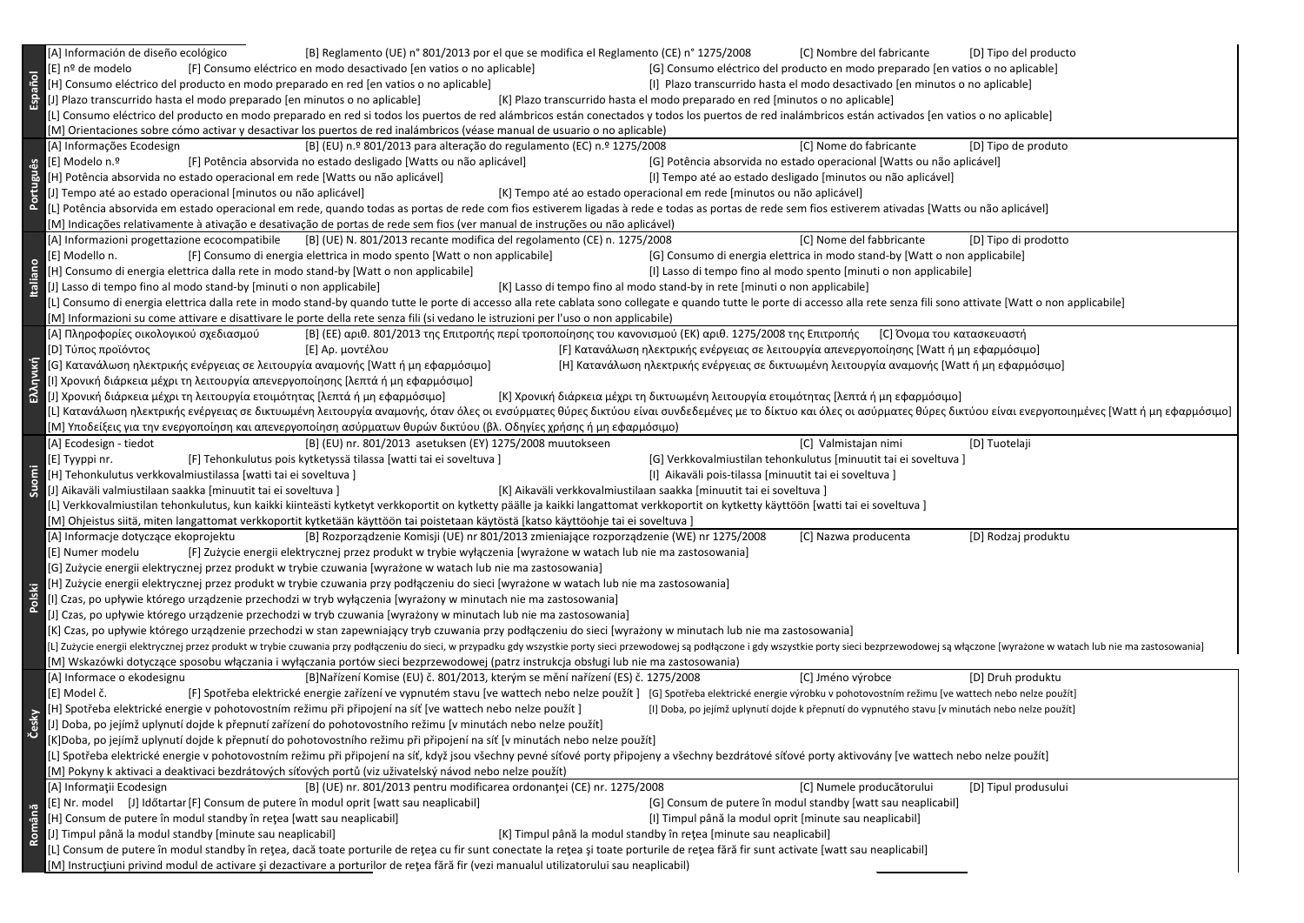| Español    | [A] Información de diseño ecológico<br>[B] Reglamento (UE) n° 801/2013 por el que se modifica el Reglamento (CE) n° 1275/2008<br>[C] Nombre del fabricante<br>[D] Tipo del producto<br>[F] Consumo eléctrico en modo desactivado [en vatios o no aplicable]<br>[G] Consumo eléctrico del producto en modo preparado [en vatios o no aplicable]<br>[E] nº de modelo<br>[H] Consumo eléctrico del producto en modo preparado en red [en vatios o no aplicable]<br>[I] Plazo transcurrido hasta el modo desactivado [en minutos o no aplicable]<br>[J] Plazo transcurrido hasta el modo preparado [en minutos o no aplicable]<br>[K] Plazo transcurrido hasta el modo preparado en red [minutos o no aplicable]<br>[L] Consumo eléctrico del producto en modo preparado en red si todos los puertos de red alámbricos están conectados y todos los puertos de red inalámbricos están activados [en vatios o no aplicable]<br>[M] Orientaciones sobre cómo activar y desactivar los puertos de red inalámbricos (véase manual de usuario o no aplicable)                                                                                                                                                                                                                                                                                                             |
|------------|------------------------------------------------------------------------------------------------------------------------------------------------------------------------------------------------------------------------------------------------------------------------------------------------------------------------------------------------------------------------------------------------------------------------------------------------------------------------------------------------------------------------------------------------------------------------------------------------------------------------------------------------------------------------------------------------------------------------------------------------------------------------------------------------------------------------------------------------------------------------------------------------------------------------------------------------------------------------------------------------------------------------------------------------------------------------------------------------------------------------------------------------------------------------------------------------------------------------------------------------------------------------------------------------------------------------------------------------------------------|
| Português  | [C] Nome do fabricante<br>[A] Informações Ecodesign<br>[B] (EU) n.º 801/2013 para alteração do regulamento (EC) n.º 1275/2008<br>[D] Tipo de produto<br>[E] Modelo n.º<br>[F] Potência absorvida no estado desligado [Watts ou não aplicável]<br>[G] Potência absorvida no estado operacional [Watts ou não aplicável]<br>[H] Potência absorvida no estado operacional em rede [Watts ou não aplicável]<br>[I] Tempo até ao estado desligado [minutos ou não aplicável]<br>[J] Tempo até ao estado operacional [minutos ou não aplicável]<br>[K] Tempo até ao estado operacional em rede [minutos ou não aplicável]<br>[L] Potência absorvida em estado operacional em rede, quando todas as portas de rede com fios estiverem ligadas à rede e todas as portas de rede sem fios estiverem ativadas [Watts ou não aplicável]<br>[M] Indicações relativamente à ativação e desativação de portas de rede sem fios (ver manual de instruções ou não aplicável)                                                                                                                                                                                                                                                                                                                                                                                                     |
| taliano    | [B] (UE) N. 801/2013 recante modifica del regolamento (CE) n. 1275/2008<br>[C] Nome del fabbricante<br>[A] Informazioni progettazione ecocompatibile<br>[D] Tipo di prodotto<br>[G] Consumo di energia elettrica in modo stand-by [Watt o non applicabile]<br>[E] Modello n.<br>[F] Consumo di energia elettrica in modo spento [Watt o non applicabile]<br>[H] Consumo di energia elettrica dalla rete in modo stand-by [Watt o non applicabile]<br>[I] Lasso di tempo fino al modo spento [minuti o non applicabile]<br>[J] Lasso di tempo fino al modo stand-by [minuti o non applicabile]<br>[K] Lasso di tempo fino al modo stand-by in rete [minuti o non applicabile]<br>[L] Consumo di energia elettrica dalla rete in modo stand-by quando tutte le porte di accesso alla rete cablata sono collegate e quando tutte le porte di accesso alla rete senza fili sono attivate [Watt o non applicabile]<br>[M] Informazioni su come attivare e disattivare le porte della rete senza fili (si vedano le istruzioni per l'uso o non applicabile)                                                                                                                                                                                                                                                                                                            |
| Ελληνική   | [Α] Πληροφορίες οικολογικού σχεδιασμού<br>[B] (ΕΕ) αριθ. 801/2013 της Επιτροπής περί τροποποίησης του κανονισμού (ΕΚ) αριθ. 1275/2008 της Επιτροπής<br>[C] Όνομα του κατασκευαστή<br>[F] Κατανάλωση ηλεκτρικής ενέργειας σε λειτουργία απενεργοποίησης [Watt ή μη εφαρμόσιμο]<br>[D] Τύπος προϊόντος<br>[E] Αρ. μοντέλου<br>[G] Κατανάλωση ηλεκτρικής ενέργειας σε λειτουργία αναμονής [Watt ή μη εφαρμόσιμο]<br>[Η] Κατανάλωση ηλεκτρικής ενέργειας σε δικτυωμένη λειτουργία αναμονής [Watt ή μη εφαρμόσιμο]<br>[Ι] Χρονική διάρκεια μέχρι τη λειτουργία απενεργοποίησης [λεπτά ή μη εφαρμόσιμο]<br>[Κ] Χρονική διάρκεια μέχρι τη δικτυωμένη λειτουργία ετοιμότητας [λεπτά ή μη εφαρμόσιμο]<br>[J] Χρονική διάρκεια μέχρι τη λειτουργία ετοιμότητας [λεπτά ή μη εφαρμόσιμο]<br>[L] Κατανάλωση ηλεκτρικής ενέργειας σε δικτυωμένη λειτουργία αναμονής, όταν όλες οι ενσύρματες θύρες δικτύου είναι συνδεδεμένες με το δίκτυο και όλες οι ασύρματες θύρες δικτύου είναι ενεργοποιημένες [Watt ή μη εφαρμόσιμο]<br>[Μ] Υποδείξεις για την ενεργοποίηση και απενεργοποίηση ασύρματων θυρών δικτύου (βλ. Οδηγίες χρήσης ή μη εφαρμόσιμο)                                                                                                                                                                                                                             |
| Suomi      | [B] (EU) nr. 801/2013 asetuksen (EY) 1275/2008 muutokseen<br>[C] Valmistajan nimi<br>[A] Ecodesign - tiedot<br>[D] Tuotelaji<br>[G] Verkkovalmiustilan tehonkulutus [minuutit tai ei soveltuva]<br>[F] Tehonkulutus pois kytketyssä tilassa [watti tai ei soveltuva]<br>[E] Tyyppi nr.<br>[H] Tehonkulutus verkkovalmiustilassa [watti tai ei soveltuva]<br>[I] Aikaväli pois-tilassa [minuutit tai ei soveltuva]<br>[J] Aikaväli valmiustilaan saakka [minuutit tai ei soveltuva]<br>[K] Aikaväli verkkovalmiustilaan saakka [minuutit tai ei soveltuva]<br>[L] Verkkovalmiustilan tehonkulutus, kun kaikki kiinteästi kytketyt verkkoportit on kytketty päälle ja kaikki langattomat verkkoportit on kytketty käyttöön [watti tai ei soveltuva]<br>[M] Ohjeistus siitä, miten langattomat verkkoportit kytketään käyttöön tai poistetaan käytöstä [katso käyttöohje tai ei soveltuva]                                                                                                                                                                                                                                                                                                                                                                                                                                                                          |
| ē.<br>ខ្ចី | [A] Informacje dotyczące ekoprojektu<br>[B] Rozporządzenie Komisji (UE) nr 801/2013 zmieniające rozporządzenie (WE) nr 1275/2008<br>[C] Nazwa producenta<br>[D] Rodzaj produktu<br>[F] Zużycie energii elektrycznej przez produkt w trybie wyłączenia [wyrażone w watach lub nie ma zastosowania]<br>[E] Numer modelu<br>[G] Zużycie energii elektrycznej przez produkt w trybie czuwania [wyrażone w watach lub nie ma zastosowania]<br>[H] Zużycie energii elektrycznej przez produkt w trybie czuwania przy podłączeniu do sieci [wyrażone w watach lub nie ma zastosowania]<br>[I] Czas, po upływie którego urządzenie przechodzi w tryb wyłączenia [wyrażony w minutach nie ma zastosowania]<br>[J] Czas, po upływie którego urządzenie przechodzi w tryb czuwania [wyrażony w minutach lub nie ma zastosowania]<br>[K] Czas, po upływie którego urządzenie przechodzi w stan zapewniający tryb czuwania przy podłączeniu do sieci [wyrażony w minutach lub nie ma zastosowania]<br>[L] Zużycie energii elektrycznej przez produkt w trybie czuwania przy podłączeniu do sieci, w przypadku gdy wszystkie porty sieci przewodowej są podłączone i gdy wszystkie porty sieci bezprzewodowej są włączone [wyrażone w<br>[M] Wskazówki dotyczące sposobu włączania i wyłączania portów sieci bezprzewodowej (patrz instrukcja obsługi lub nie ma zastosowania) |
| Česky      | [A] Informace o ekodesignu<br>[B]Nařízení Komise (EU) č. 801/2013, kterým se mění nařízení (ES) č. 1275/2008<br>[C] Jméno výrobce<br>[D] Druh produktu<br>[E] Model č.<br>[F] Spotřeba elektrické energie zařízení ve vypnutém stavu [ve wattech nebo nelze použít] [G] Spotřeba elektrické energie výrobku v pohotovostním režimu [ve wattech nebo nelze použít]<br>[H] Spotřeba elektrické energie v pohotovostním režimu při připojení na síť [ve wattech nebo nelze použít]<br>[I] Doba, po jejímž uplynutí dojde k přepnutí do vypnutého stavu [v minutách nebo nelze použít]<br>[J] Doba, po jejímž uplynutí dojde k přepnutí zařízení do pohotovostního režimu [v minutách nebo nelze použít]<br>[K]Doba, po jejímž uplynutí dojde k přepnutí do pohotovostního režimu při připojení na síť [v minutách nebo nelze použít]<br>[L] Spotřeba elektrické energie v pohotovostním režimu při připojení na síť, když jsou všechny pevné síťové porty připojeny a všechny bezdrátové síťové porty aktivovány [ve wattech nebo nelze použít]<br>[M] Pokyny k aktivaci a deaktivaci bezdrátových síťových portů (viz uživatelský návod nebo nelze použít)                                                                                                                                                                                                         |
| Română     | [B] (UE) nr. 801/2013 pentru modificarea ordonanței (CE) nr. 1275/2008<br>[A] Informații Ecodesign<br>[C] Numele producătorului<br>[D] Tipul produsului<br>[E] Nr. model [J] Időtartar [F] Consum de putere în modul oprit [watt sau neaplicabil]<br>[G] Consum de putere în modul standby [watt sau neaplicabil]<br>[H] Consum de putere în modul standby în rețea [watt sau neaplicabil]<br>[I] Timpul până la modul oprit [minute sau neaplicabil]<br>[J] Timpul până la modul standby [minute sau neaplicabil]<br>[K] Timpul până la modul standby în rețea [minute sau neaplicabil]<br>[L] Consum de putere în modul standby în rețea, dacă toate porturile de rețea cu fir sunt conectate la rețea și toate porturile de rețea fără fir sunt activate [watt sau neaplicabil]<br>[M] Instrucțiuni privind modul de activare și dezactivare a porturilor de rețea fără fir (vezi manualul utilizatorului sau neaplicabil)                                                                                                                                                                                                                                                                                                                                                                                                                                    |